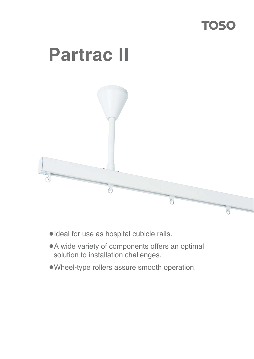# **TOSO**



- •Ideal for use as hospital cubicle rails.
- •A wide variety of components offers an optimal solution to installation challenges.
- •Wheel-type rollers assure smooth operation.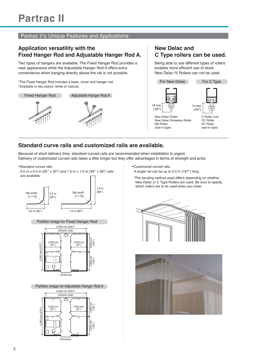#### **Partrac II's Unique Features and Applications**

### **Application versatility with the Fixed Hanger Rod and Adjustable Hanger Rod A.**

Two types of hangers are available. The Fixed Hanger Rod provides a neat appearance while the Adjustable Hanger Rod A offers extra convenience when hanging directly above the rail is not possible.

\*The Fixed Hanger Rod includes a base, cover and hanger rod. \*Available in two colors: white or natural.



#### **New Delac and C Type rollers can be used.**

Being able to use different types of rollers enables more efficient use of stock. New Delac IV Rollers can not be used.



#### **Standard curve rails and customized rails are available.**

Because of short delivery time, standard curved rails are recommended when installation is urgent. Delivery of customized curved rails takes a little longer but they offer advantages in terms of strength and price.

•Standard curved rails

 $0.5$  m  $\times$  0.5 m (20"  $\times$  20") and 1.0 m  $\times$  1.0 m (39"  $\times$  39") rails are available.





(Entrance)

Partition image for Adjustable Hanger Rod A



•Customized curved rails

- A single rail can be up to  $5.0$  m (197") long.
- \*The bending method used differs depending on whether New Delac or C Type Rollers are used. Be sure to specify which rollers are to be used when you order.



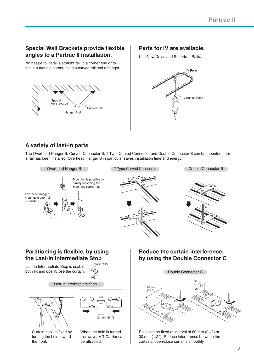#### **Special Wall Brackets provide flexible Parts for IV are available. angles to a Partrac II installation.**

No hassle to install a straight rail in a corner end or to make a triangle corner using a curved rail and a hanger.



Use New Delac and Supertrac Rails.



#### **A variety of last-in parts**

The Overhead Hanger B, Curved Connector B, T Type Curved Connector and Double Connector B can be mounted after a rail has been installed. Overhead Hanger B in particular saves installation time and energy.



#### **Partitioning is flexible, by using the Last-in Intermediate Stop**

Last-in Intermediate Stop is usable both fix and open/close the curtain.



Last-in Intermediate Stop



Curtain hook is fixed by turning the hole toward the front.

When the hole is turned sideways, MG Carrier can be attracted.

 $13$  mm  $(.51'')$ 

#### **Reduce the curtain interference, by using the Double Connector C**



Rails can be fixed at interval of 60 mm (2.4") or 30 mm (1.2"). Reduce interference between the curtains, open/close curtains smoothly.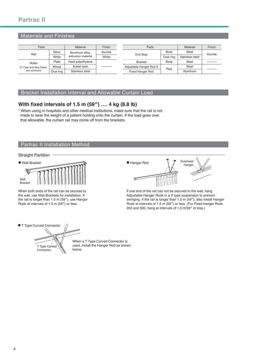#### Materials and Finishes

| Parts                                          |           | Material<br>Finish |         | Parts                   |           | Material        | Finish  |  |
|------------------------------------------------|-----------|--------------------|---------|-------------------------|-----------|-----------------|---------|--|
| Rail                                           | Silver    | Aluminum alloy     | Alumite |                         | Body      | Steel           | Alumite |  |
|                                                | White     | extrusion material | White   | End Stop                | Oval ring | Stainless steel |         |  |
| Roller<br>(C Type and New Delac<br>are common) | Plate     | Hard polyethylene  |         | <b>Bracket</b>          | Body      | Steel           |         |  |
|                                                | Wheel     | Acetal resin       |         | Adjustable Hanger Rod A | Pipe      | Steel           |         |  |
|                                                | Oval ring | Stainless steel    |         | <b>Fixed Hanger Rod</b> |           | Aluminum        |         |  |

#### Bracket Installation Interval and Allowable Curtain Load

#### With fixed intervals of 1.5 m (59") .... 4 kg (8.8 lb)

\* When using in hospitals and other medical institutions, make sure that the rail is not made to bear the weight of a patient holding onto the curtain. If the load goes over that allowable, the curtain rail may come off from the brackets.

#### Partrac II Installation Method

#### Straight Partition



When both ends of the rail can be secured to the wall, use Wall Brackets for installation. If the rail is longer than 1.5 m (59"), use Hanger Rods at intervals of 1.5 m  $(59'')$  or less.



If one end of the rail can not be secured to the wall, hang Adjustable Hanger Rods in a V type suspension to prevent swinging. If the rail is longer than 1.5 m (59"), also install Hanger Rods at intervals of 1.5 m (59") or less. (For Fixed hanger Rods 350 and 500, hang at intervals of 1.0 m/39" or less.)



When a T Type Curved Connector is used, install the Hanger Rod as shown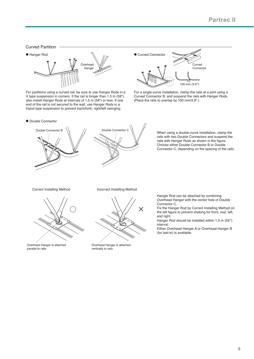#### Curved Partition



For partitions using a curved rail, be sure to use Hanger Rods in a V type suspension in corners. If the rail is longer than 1.5 m (59"), also install Hanger Rods at intervals of 1.5 m (59") or less. If one end of the rail is not secured to the wall, use Hanger Rods in a tripod type suspension to prevent back/forth, right/left swinging.



For a single-curve installation, clamp the rails at a joint using a Curved Connector B, and suspend the rails with Hanger Rods. (Place the rails to overlap by 100 mm/3.9".)





When using a double-curve installation, clamp the rails with two Double Connectors and suspend the rails with Hanger Rods as shown in the figure. Choose either Double Connector B or Double Connector C, depending on the spacing of the rails.

Correct Installing Method Incorrect Installing Method



Overhead Hanger is attached parallel to rails



Overhead Hanger is attached vertically to rails

Hanger Rod can be attached by combining Overhead Hanger with the center hole of Double Connector C.

Fix the Hanger Rod by Correct Installing Method on the left figure to prevent shaking for front, rear, left, and right.

Hanger Rod should be installed within 1.5 m  $(59'')$ interval.

Either Overhead Hanger A or Overhead Hanger B (for last-in) is available.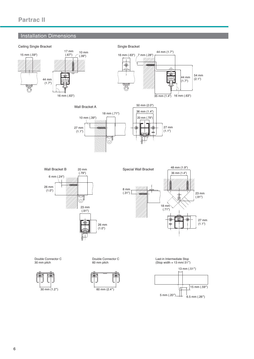### **Partrac II**

#### **Installation Dimensions**

#### Ceiling Single Bracket Ceiling Single Bracket











Double Connector C 30 mm pitch



Double Connector C 60 mm pitch



Last-in Intermediate Stop (Stop width =  $13$  mm/.51")

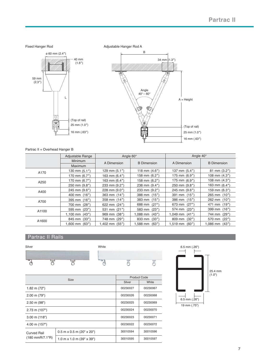

Partrac II + Overhead Hanger B

|                  | Adjustable Range          | Angle $60^\circ$ |                    | Angle $40^\circ$   |                    |  |  |
|------------------|---------------------------|------------------|--------------------|--------------------|--------------------|--|--|
|                  | <b>Minimum</b><br>Maximum | A Dimension      | <b>B</b> Dimension | A Dimension        | <b>B</b> Dimension |  |  |
|                  |                           |                  |                    |                    |                    |  |  |
| A <sub>170</sub> | 130 mm $(5.1'')$          | 129 mm $(5.1'')$ | 118 mm $(4.6")$    | 137 mm $(5.4'')$   | $81$ mm $(3.2n)$   |  |  |
|                  | 170 mm (6.7")             | 163 mm (6.4")    | 158 mm (6.2")      | 175 mm (6.9")      | 108 mm $(4.3")$    |  |  |
| A250             | 170 mm (6.7")             | 163 mm (6.4")    | 158 mm (6.2")      | 175 mm (6.9")      | 108 mm $(4.3")$    |  |  |
|                  | 250 mm (9.8")             | 233 mm (9.2")    | 238 mm (9.4")      | 250 mm (9.8")      | 163 mm $(6.4'')$   |  |  |
| A400             | 245 mm (9.6")             | 228 mm (9.0")    | 233 mm (9.2")      | 245 mm $(9.6")$    | 159 mm (6.3")      |  |  |
|                  | (16'')<br>400 mm          | 363 mm $(14")$   | 388 mm (15")       | (15'')<br>391 mm   | 265 mm (10")       |  |  |
| A700             | (16'')<br>395 mm          | 358 mm (14")     | 383 mm (15")       | (15'')<br>386 mm   | (10'')<br>262 mm   |  |  |
|                  | (28")<br>700 mm           | (24'')<br>622 mm | (27")<br>688 mm    | 673 mm<br>(27")    | (19'')<br>471 mm   |  |  |
| A1100            | (23'')<br>595 mm          | 531 mm (21")     | (23'')<br>583 mm   | (23'')<br>574 mm   | 399 mm (16")       |  |  |
|                  | $1.100$ mm<br>(43'')      | (38")<br>969 mm  | (43'')<br>1.088 mm | 1.049 mm<br>(41'') | 744 mm (29")       |  |  |
| A1600            | (33'')<br>845 mm          | 748 mm (29")     | (33'')<br>833 mm   | 809 mm<br>(32'')   | 570 mm (22")       |  |  |
|                  | 1.600 mm<br>(63'')        | 1.402 mm (55")   | 1.588 mm<br>(63'') | (60'')<br>l.519 mm | 1,086 mm (43")     |  |  |

#### Partrac II Rails





 $\overline{\mathbb{C}}$ 



|                                   | <b>Size</b>                          | Product Code |          |  |  |  |
|-----------------------------------|--------------------------------------|--------------|----------|--|--|--|
|                                   | Silver                               | White        |          |  |  |  |
| 1.82 m (72")                      | 00230027<br>00230067                 |              |          |  |  |  |
| $2.00 \text{ m}$ (79")            | 00230026<br>00230068                 |              |          |  |  |  |
| $2.50 \text{ m}$ (98")            | 00230025<br>00230069                 |              |          |  |  |  |
| $2.73 \text{ m}$ (107")           | 00230024                             | 00230070     |          |  |  |  |
| $3.00 \text{ m}$ (118")           | 00230023                             | 00230071     |          |  |  |  |
| 4.00 m (157")                     | 00230022                             | 00230072     |          |  |  |  |
| Curved Rail                       | $0.5$ m x 0.5 m (20" x 20")          | 30010594     | 30010596 |  |  |  |
| $(180 \text{ mmR}/7.1 \text{ m})$ | $1.0$ m x $1.0$ m $(39" \times 39")$ | 30010595     | 30010597 |  |  |  |